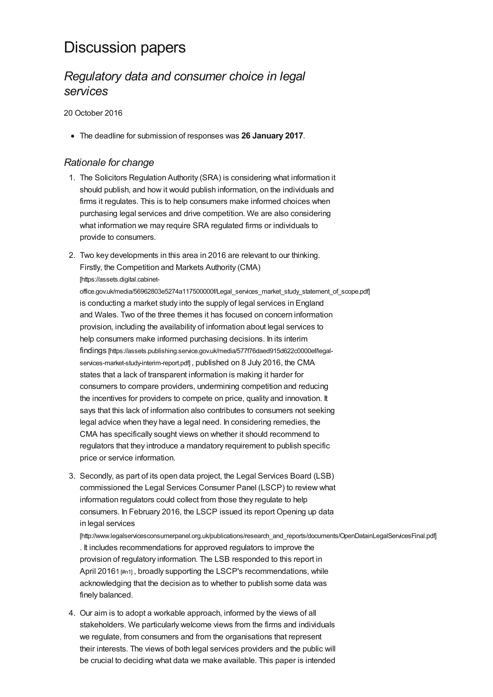# Discussion papers

## *Regulatory data and consumer choice in legal services*

20 October 2016

The deadline for submission of responses was **26 January 2017**.

## *Rationale for change*

- 1. The Solicitors Regulation Authority (SRA) is considering what information it should publish, and how it would publish information, on the individuals and firms it regulates. This is to help consumers make informed choices when purchasing legal services and drive competition. We are also considering what information we may require SRA regulated firms or individuals to provide to consumers.
- 2. Two key developments in this area in 2016 are relevant to our thinking. Firstly, the Competition and Markets Authority (CMA) [https://assets.digital.cabinet-

[office.gov.uk/media/56962803e5274a117500000f/Legal\\_services\\_market\\_study\\_statement\\_of\\_scope.pdf\]](https://assets.digital.cabinet-office.gov.uk/media/56962803e5274a117500000f/Legal_services_market_study_statement_of_scope.pdf) is conducting a market study into the supply of legal services in England and Wales. Two of the three themes it has focused on concern information provision, including the availability of information about legal services to help consumers make informed purchasing decisions. In its interim findings [\[https://assets.publishing.service.gov.uk/media/577f76daed915d622c0000ef/legal](https://assets.publishing.service.gov.uk/media/577f76daed915d622c0000ef/legal-services-market-study-interim-report.pdf)services-market-study-interim-report.pdf], published on 8 July 2016, the CMA states that a lack of transparent information is making it harder for consumers to compare providers, undermining competition and reducing the incentives for providers to compete on price, quality and innovation. It says that this lack of information also contributes to consumers not seeking legal advice when they have a legal need. In considering remedies, the CMA has specifically sought views on whether it should recommend to regulators that they introduce a mandatory requirement to publish specific price or service information.

3. Secondly, as part of its open data project, the Legal Services Board (LSB) commissioned the Legal Services Consumer Panel (LSCP) to review what information regulators could collect from those they regulate to help consumers. In February 2016, the LSCP issued its report Opening up data in legal services

[\[http://www.legalservicesconsumerpanel.org.uk/publications/research\\_and\\_reports/documents/OpenDatainLegalServicesFinal.pdf\]](http://www.legalservicesconsumerpanel.org.uk/publications/research_and_reports/documents/OpenDatainLegalServicesFinal.pdf) . It includes recommendations for approved regulators to improve the provision of regulatory information. The LSB responded to this report in April 20161 [\[#n1\]](#page-18-0), broadly supporting the LSCP's recommendations, while acknowledging that the decision as to whether to publish some data was finely balanced.

4. Our aim is to adopt a workable approach, informed by the views of all stakeholders. We particularly welcome views from the firms and individuals we regulate, from consumers and from the organisations that represent their interests. The views of both legal services providers and the public will be crucial to deciding what data we make available. This paper is intended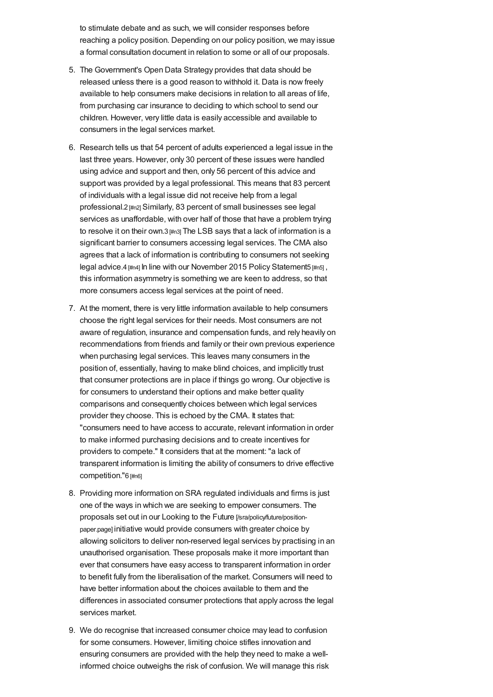to stimulate debate and as such, we will consider responses before reaching a policy position. Depending on our policy position, we may issue a formal consultation document in relation to some or all of our proposals.

- 5. The Government's Open Data Strategy provides that data should be released unless there is a good reason to withhold it. Data is now freely available to help consumers make decisions in relation to all areas of life, from purchasing car insurance to deciding to which school to send our children. However, very little data is easily accessible and available to consumers in the legal services market.
- 6. Research tells us that 54 percent of adults experienced a legal issue in the last three years. However, only 30 percent of these issues were handled using advice and support and then, only 56 percent of this advice and support was provided by a legal professional. This means that 83 percent of individuals with a legal issue did not receive help from a legal professional.2 [\[#n2\]](#page-18-1) Similarly, 83 percent of small businesses see legal services as unaffordable, with over half of those that have a problem trying to resolve it on their own.3 [\[#n3\]](#page-18-2) The LSB says that a lack of information is a significant barrier to consumers accessing legal services. The CMA also agrees that a lack of information is contributing to consumers not seeking legal advice.4 [\[#n4\]](#page-18-3) In line with our November 2015 Policy Statement5 [\[#n5\]](#page-18-4), this information asymmetry is something we are keen to address, so that more consumers access legal services at the point of need.
- 7. At the moment, there is very little information available to help consumers choose the right legal services for their needs. Most consumers are not aware of regulation, insurance and compensation funds, and rely heavily on recommendations from friends and family or their own previous experience when purchasing legal services. This leaves many consumers in the position of, essentially, having to make blind choices, and implicitly trust that consumer protections are in place if things go wrong. Our objective is for consumers to understand their options and make better quality comparisons and consequently choices between which legal services provider they choose. This is echoed by the CMA. It states that: "consumers need to have access to accurate, relevant information in order to make informed purchasing decisions and to create incentives for providers to compete." It considers that at the moment: "a lack of transparent information is limiting the ability of consumers to drive effective competition."6 [\[#n6\]](#page-18-5)
- 8. Providing more information on SRA regulated individuals and firms is just one of the ways in which we are seeking to empower consumers. The proposals set out in our Looking to the Future [\[/sra/policy/future/position](https://www.sra.org.uk/sra/policy/future/position-paper.page)paper.page] initiative would provide consumers with greater choice by allowing solicitors to deliver non-reserved legal services by practising in an unauthorised organisation. These proposals make it more important than ever that consumers have easy access to transparent information in order to benefit fully from the liberalisation of the market. Consumers will need to have better information about the choices available to them and the differences in associated consumer protections that apply across the legal services market.
- 9. We do recognise that increased consumer choice may lead to confusion for some consumers. However, limiting choice stifles innovation and ensuring consumers are provided with the help they need to make a wellinformed choice outweighs the risk of confusion. We will manage this risk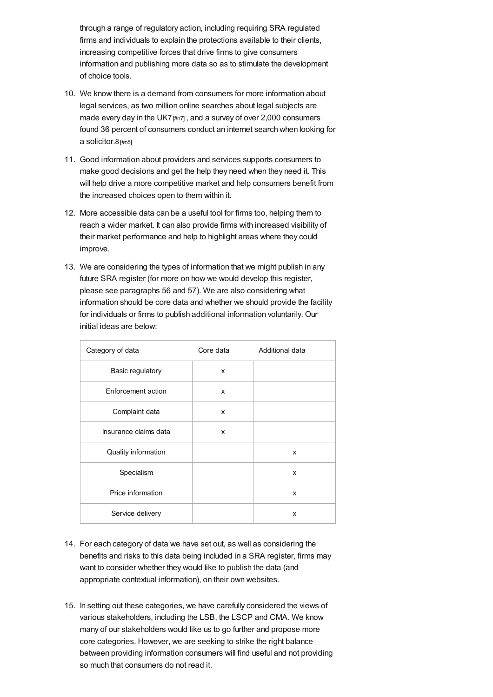through a range of regulatory action, including requiring SRA regulated firms and individuals to explain the protections available to their clients, increasing competitive forces that drive firms to give consumers information and publishing more data so as to stimulate the development of choice tools.

- 10. We know there is a demand from consumers for more information about legal services, as two million online searches about legal subjects are made every day in the UK7 [\[#n7\]](#page-18-6), and a survey of over 2,000 consumers found 36 percent of consumers conduct an internet search when looking for a solicitor.8 [\[#n8\]](#page-18-7)
- 11. Good information about providers and services supports consumers to make good decisions and get the help they need when they need it. This will help drive a more competitive market and help consumers benefit from the increased choices open to them within it.
- 12. More accessible data can be a useful tool for firms too, helping them to reach a wider market. It can also provide firms with increased visibility of their market performance and help to highlight areas where they could improve.
- 13. We are considering the types of information that we might publish in any future SRA register (for more on how we would develop this register, please see paragraphs 56 and 57). We are also considering what information should be core data and whether we should provide the facility for individuals or firms to publish additional information voluntarily. Our initial ideas are below:

| Category of data      | Core data | Additional data |
|-----------------------|-----------|-----------------|
| Basic regulatory      | x         |                 |
| Enforcement action    | x         |                 |
| Complaint data        | x         |                 |
| Insurance claims data | x         |                 |
| Quality information   |           | X               |
| Specialism            |           | X               |
| Price information     |           | x               |
| Service delivery      |           | X               |

- 14. For each category of data we have set out, as well as considering the benefits and risks to this data being included in a SRA register, firms may want to consider whether they would like to publish the data (and appropriate contextual information), on their own websites.
- 15. In setting out these categories, we have carefully considered the views of various stakeholders, including the LSB, the LSCP and CMA. We know many of our stakeholders would like us to go further and propose more core categories. However, we are seeking to strike the right balance between providing information consumers will find useful and not providing so much that consumers do not read it.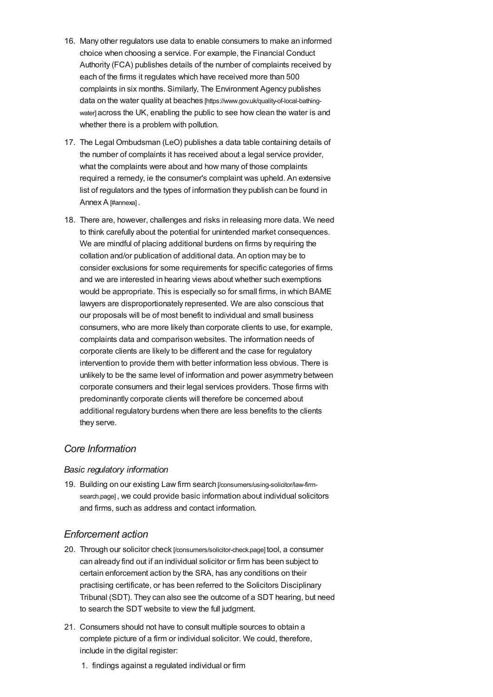- 16. Many other regulators use data to enable consumers to make an informed choice when choosing a service. For example, the Financial Conduct Authority (FCA) publishes details of the number of complaints received by each of the firms it regulates which have received more than 500 complaints in six months. Similarly, The Environment Agency publishes data on the water quality at beaches [\[https://www.gov.uk/quality-of-local-bathing](https://www.gov.uk/quality-of-local-bathing-water)water] across the UK, enabling the public to see how clean the water is and whether there is a problem with pollution.
- 17. The Legal Ombudsman (LeO) publishes a data table containing details of the number of complaints it has received about a legal service provider, what the complaints were about and how many of those complaints required a remedy, ie the consumer's complaint was upheld. An extensive list of regulators and the types of information they publish can be found in Annex A [\[#annexa\]](#page-15-0).
- 18. There are, however, challenges and risks in releasing more data. We need to think carefully about the potential for unintended market consequences. We are mindful of placing additional burdens on firms by requiring the collation and/or publication of additional data. An option may be to consider exclusions for some requirements for specific categories of firms and we are interested in hearing views about whether such exemptions would be appropriate. This is especially so for small firms, in which BAME lawyers are disproportionately represented. We are also conscious that our proposals will be of most benefit to individual and small business consumers, who are more likely than corporate clients to use, for example, complaints data and comparison websites. The information needs of corporate clients are likely to be different and the case for regulatory intervention to provide them with better information less obvious. There is unlikely to be the same level of information and power asymmetry between corporate consumers and their legal services providers. Those firms with predominantly corporate clients will therefore be concerned about additional regulatory burdens when there are less benefits to the clients they serve.

### *Core Information*

### *Basic regulatory information*

19. Building on our existing Law firm search[\[/consumers/using-solicitor/law-firm](https://www.sra.org.uk/consumers/using-solicitor/law-firm-search.page)search.page] , we could provide basic information about individual solicitors and firms, such as address and contact information.

### *Enforcement action*

- 20. Through our solicitor check [\[/consumers/solicitor-check.page\]](https://www.sra.org.uk/consumers/solicitor-check.page) tool, a consumer can already find out if an individual solicitor or firm has been subject to certain enforcement action by the SRA, has any conditions on their practising certificate, or has been referred to the Solicitors Disciplinary Tribunal (SDT). They can also see the outcome of a SDT hearing, but need to search the SDT website to view the full judgment.
- 21. Consumers should not have to consult multiple sources to obtain a complete picture of a firm or individual solicitor. We could, therefore, include in the digital register:
	- 1. findings against a regulated individual or firm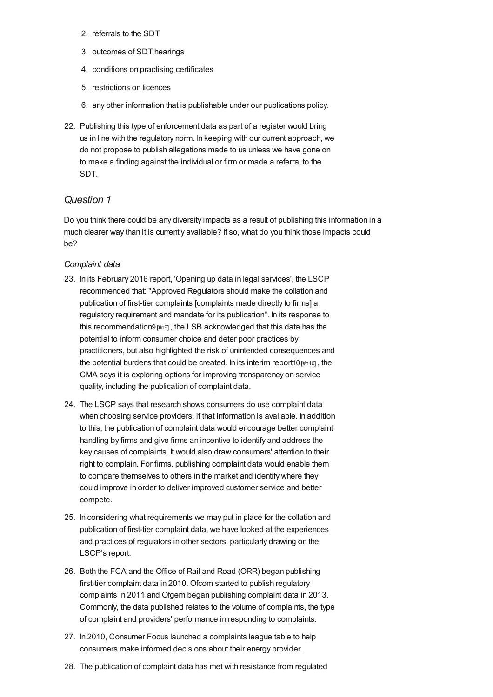- 2. referrals to the SDT
- 3. outcomes of SDT hearings
- 4. conditions on practising certificates
- 5. restrictions on licences
- 6. any other information that is publishable under our publications policy.
- 22. Publishing this type of enforcement data as part of a register would bring us in line with the regulatory norm. In keeping with our current approach, we do not propose to publish allegations made to us unless we have gone on to make a finding against the individual or firm or made a referral to the SDT.

## *Question 1*

Do you think there could be any diversity impacts as a result of publishing this information in a much clearer way than it is currently available? If so, what do you think those impacts could be?

### *Complaint data*

- 23. In its February 2016 report, 'Opening up data in legal services', the LSCP recommended that: "Approved Regulators should make the collation and publication of first-tier complaints [complaints made directly to firms] a regulatory requirement and mandate for its publication". In its response to this recommendation9 [\[#n9\]](#page-18-8), the LSB acknowledged that this data has the potential to inform consumer choice and deter poor practices by practitioners, but also highlighted the risk of unintended consequences and the potential burdens that could be created. In its interim report10 [\[#n10\]](#page-18-9) , the CMA says it is exploring options for improving transparency on service quality, including the publication of complaint data.
- 24. The LSCP says that research shows consumers do use complaint data when choosing service providers, if that information is available. In addition to this, the publication of complaint data would encourage better complaint handling by firms and give firms an incentive to identify and address the key causes of complaints. It would also draw consumers' attention to their right to complain. For firms, publishing complaint data would enable them to compare themselves to others in the market and identify where they could improve in order to deliver improved customer service and better compete.
- 25. In considering what requirements we may put in place for the collation and publication of first-tier complaint data, we have looked at the experiences and practices of regulators in other sectors, particularly drawing on the LSCP's report.
- 26. Both the FCA and the Office of Rail and Road (ORR) began publishing first-tier complaint data in 2010. Ofcom started to publish regulatory complaints in 2011 and Ofgem began publishing complaint data in 2013. Commonly, the data published relates to the volume of complaints, the type of complaint and providers' performance in responding to complaints.
- 27. In 2010, Consumer Focus launched a complaints league table to help consumers make informed decisions about their energy provider.
- 28. The publication of complaint data has met with resistance from regulated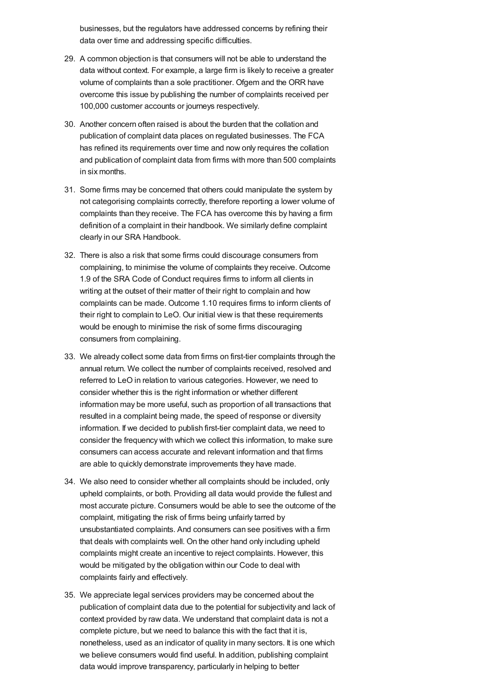businesses, but the regulators have addressed concerns by refining their data over time and addressing specific difficulties.

- 29. A common objection is that consumers will not be able to understand the data without context. For example, a large firm is likely to receive a greater volume of complaints than a sole practitioner. Ofgem and the ORR have overcome this issue by publishing the number of complaints received per 100,000 customer accounts or journeys respectively.
- 30. Another concern often raised is about the burden that the collation and publication of complaint data places on regulated businesses. The FCA has refined its requirements over time and now only requires the collation and publication of complaint data from firms with more than 500 complaints in six months.
- 31. Some firms may be concerned that others could manipulate the system by not categorising complaints correctly, therefore reporting a lower volume of complaints than they receive. The FCA has overcome this by having a firm definition of a complaint in their handbook. We similarly define complaint clearly in our SRA Handbook.
- 32. There is also a risk that some firms could discourage consumers from complaining, to minimise the volume of complaints they receive. Outcome 1.9 of the SRA Code of Conduct requires firms to inform all clients in writing at the outset of their matter of their right to complain and how complaints can be made. Outcome 1.10 requires firms to inform clients of their right to complain to LeO. Our initial view is that these requirements would be enough to minimise the risk of some firms discouraging consumers from complaining.
- 33. We already collect some data from firms on first-tier complaints through the annual return. We collect the number of complaints received, resolved and referred to LeO in relation to various categories. However, we need to consider whether this is the right information or whether different information may be more useful, such as proportion of all transactions that resulted in a complaint being made, the speed of response or diversity information. If we decided to publish first-tier complaint data, we need to consider the frequency with which we collect this information, to make sure consumers can access accurate and relevant information and that firms are able to quickly demonstrate improvements they have made.
- 34. We also need to consider whether all complaints should be included, only upheld complaints, or both. Providing all data would provide the fullest and most accurate picture. Consumers would be able to see the outcome of the complaint, mitigating the risk of firms being unfairly tarred by unsubstantiated complaints. And consumers can see positives with a firm that deals with complaints well. On the other hand only including upheld complaints might create an incentive to reject complaints. However, this would be mitigated by the obligation within our Code to deal with complaints fairly and effectively.
- 35. We appreciate legal services providers may be concerned about the publication of complaint data due to the potential for subjectivity and lack of context provided by raw data. We understand that complaint data is not a complete picture, but we need to balance this with the fact that it is, nonetheless, used as an indicator of quality in many sectors. It is one which we believe consumers would find useful. In addition, publishing complaint data would improve transparency, particularly in helping to better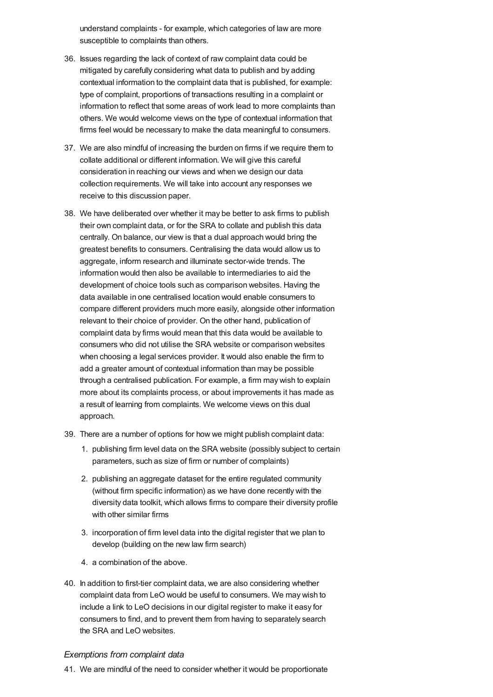understand complaints - for example, which categories of law are more susceptible to complaints than others.

- 36. Issues regarding the lack of context of raw complaint data could be mitigated by carefully considering what data to publish and by adding contextual information to the complaint data that is published, for example: type of complaint, proportions of transactions resulting in a complaint or information to reflect that some areas of work lead to more complaints than others. We would welcome views on the type of contextual information that firms feel would be necessary to make the data meaningful to consumers.
- 37. We are also mindful of increasing the burden on firms if we require them to collate additional or different information. We will give this careful consideration in reaching our views and when we design our data collection requirements. We will take into account any responses we receive to this discussion paper.
- 38. We have deliberated over whether it may be better to ask firms to publish their own complaint data, or for the SRA to collate and publish this data centrally. On balance, our view is that a dual approach would bring the greatest benefits to consumers. Centralising the data would allow us to aggregate, inform research and illuminate sector-wide trends. The information would then also be available to intermediaries to aid the development of choice tools such as comparison websites. Having the data available in one centralised location would enable consumers to compare different providers much more easily, alongside other information relevant to their choice of provider. On the other hand, publication of complaint data by firms would mean that this data would be available to consumers who did not utilise the SRA website or comparison websites when choosing a legal services provider. It would also enable the firm to add a greater amount of contextual information than may be possible through a centralised publication. For example, a firm may wish to explain more about its complaints process, or about improvements it has made as a result of learning from complaints. We welcome views on this dual approach.
- 39. There are a number of options for how we might publish complaint data:
	- 1. publishing firm level data on the SRA website (possibly subject to certain parameters, such as size of firm or number of complaints)
	- 2. publishing an aggregate dataset for the entire regulated community (without firm specific information) as we have done recently with the diversity data toolkit, which allows firms to compare their diversity profile with other similar firms
	- 3. incorporation of firm level data into the digital register that we plan to develop (building on the new law firm search)
	- 4. a combination of the above.
- 40. In addition to first-tier complaint data, we are also considering whether complaint data from LeO would be useful to consumers. We may wish to include a link to LeO decisions in our digital register to make it easy for consumers to find, and to prevent them from having to separately search the SRA and LeO websites.

#### *Exemptions from complaint data*

41. We are mindful of the need to consider whether it would be proportionate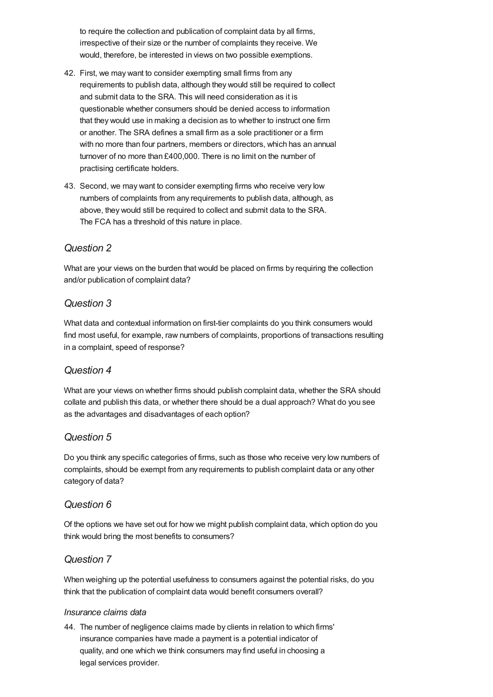to require the collection and publication of complaint data by all firms, irrespective of their size or the number of complaints they receive. We would, therefore, be interested in views on two possible exemptions.

- 42. First, we may want to consider exempting small firms from any requirements to publish data, although they would still be required to collect and submit data to the SRA. This will need consideration as it is questionable whether consumers should be denied access to information that they would use in making a decision as to whether to instruct one firm or another. The SRA defines a small firm as a sole practitioner or a firm with no more than four partners, members or directors, which has an annual turnover of no more than £400,000. There is no limit on the number of practising certificate holders.
- 43. Second, we may want to consider exempting firms who receive very low numbers of complaints from any requirements to publish data, although, as above, they would still be required to collect and submit data to the SRA. The FCA has a threshold of this nature in place.

## *Question 2*

What are your views on the burden that would be placed on firms by requiring the collection and/or publication of complaint data?

## *Question 3*

What data and contextual information on first-tier complaints do you think consumers would find most useful, for example, raw numbers of complaints, proportions of transactions resulting in a complaint, speed of response?

## *Question 4*

What are your views on whether firms should publish complaint data, whether the SRA should collate and publish this data, or whether there should be a dual approach? What do you see as the advantages and disadvantages of each option?

### *Question 5*

Do you think any specific categories of firms, such as those who receive very low numbers of complaints, should be exempt from any requirements to publish complaint data or any other category of data?

## *Question 6*

Of the options we have set out for how we might publish complaint data, which option do you think would bring the most benefits to consumers?

### *Question 7*

When weighing up the potential usefulness to consumers against the potential risks, do you think that the publication of complaint data would benefit consumers overall?

### *Insurance claims data*

44. The number of negligence claims made by clients in relation to which firms' insurance companies have made a payment is a potential indicator of quality, and one which we think consumers may find useful in choosing a legal services provider.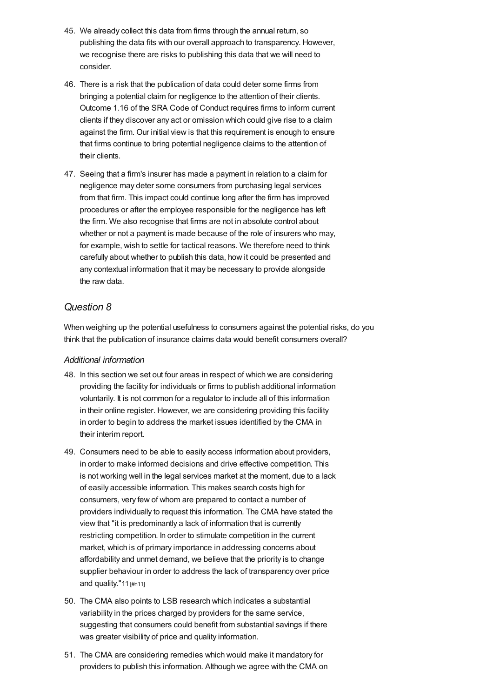- 45. We already collect this data from firms through the annual return, so publishing the data fits with our overall approach to transparency. However, we recognise there are risks to publishing this data that we will need to consider.
- 46. There is a risk that the publication of data could deter some firms from bringing a potential claim for negligence to the attention of their clients. Outcome 1.16 of the SRA Code of Conduct requires firms to inform current clients if they discover any act or omission which could give rise to a claim against the firm. Our initial view is that this requirement is enough to ensure that firms continue to bring potential negligence claims to the attention of their clients.
- 47. Seeing that a firm's insurer has made a payment in relation to a claim for negligence may deter some consumers from purchasing legal services from that firm. This impact could continue long after the firm has improved procedures or after the employee responsible for the negligence has left the firm. We also recognise that firms are not in absolute control about whether or not a payment is made because of the role of insurers who may, for example, wish to settle for tactical reasons. We therefore need to think carefully about whether to publish this data, how it could be presented and any contextual information that it may be necessary to provide alongside the raw data.

## *Question 8*

When weighing up the potential usefulness to consumers against the potential risks, do you think that the publication of insurance claims data would benefit consumers overall?

### *Additional information*

- 48. In this section we set out four areas in respect of which we are considering providing the facility for individuals or firms to publish additional information voluntarily. It is not common for a regulator to include all of this information in their online register. However, we are considering providing this facility in order to begin to address the market issues identified by the CMA in their interim report.
- 49. Consumers need to be able to easily access information about providers, in order to make informed decisions and drive effective competition. This is not working well in the legal services market at the moment, due to a lack of easily accessible information. This makes search costs high for consumers, very few of whom are prepared to contact a number of providers individually to request this information. The CMA have stated the view that "it is predominantly a lack of information that is currently restricting competition. In order to stimulate competition in the current market, which is of primary importance in addressing concerns about affordability and unmet demand, we believe that the priority is to change supplier behaviour in order to address the lack of transparency over price and quality."11 [\[#n11\]](#page-18-10)
- 50. The CMA also points to LSB research which indicates a substantial variability in the prices charged by providers for the same service, suggesting that consumers could benefit from substantial savings if there was greater visibility of price and quality information.
- 51. The CMA are considering remedies which would make it mandatory for providers to publish this information. Although we agree with the CMA on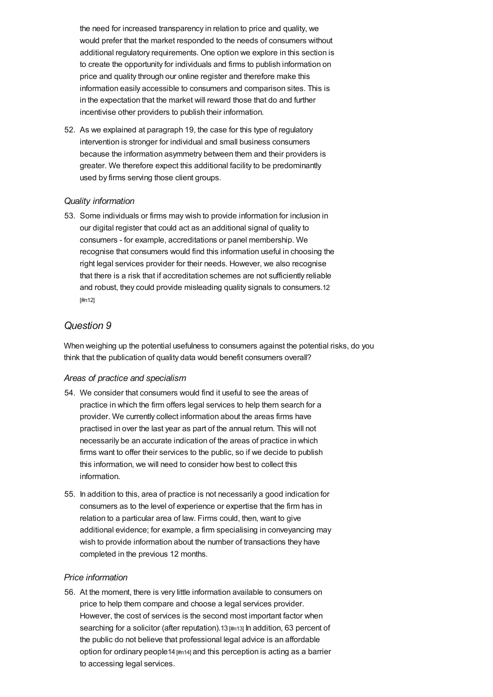the need for increased transparency in relation to price and quality, we would prefer that the market responded to the needs of consumers without additional regulatory requirements. One option we explore in this section is to create the opportunity for individuals and firms to publish information on price and quality through our online register and therefore make this information easily accessible to consumers and comparison sites. This is in the expectation that the market will reward those that do and further incentivise other providers to publish their information.

52. As we explained at paragraph 19, the case for this type of regulatory intervention is stronger for individual and small business consumers because the information asymmetry between them and their providers is greater. We therefore expect this additional facility to be predominantly used by firms serving those client groups.

### *Quality information*

53. Some individuals or firms may wish to provide information for inclusion in our digital register that could act as an additional signal of quality to consumers - for example, accreditations or panel membership. We recognise that consumers would find this information useful in choosing the right legal services provider for their needs. However, we also recognise that there is a risk that if accreditation schemes are not sufficiently reliable and robust, they could provide misleading quality signals to [consumers.](#page-18-11)12 [#n12]

## *Question 9*

When weighing up the potential usefulness to consumers against the potential risks, do you think that the publication of quality data would benefit consumers overall?

#### *Areas of practice and specialism*

- 54. We consider that consumers would find it useful to see the areas of practice in which the firm offers legal services to help them search for a provider. We currently collect information about the areas firms have practised in over the last year as part of the annual return. This will not necessarily be an accurate indication of the areas of practice in which firms want to offer their services to the public, so if we decide to publish this information, we will need to consider how best to collect this information.
- 55. In addition to this, area of practice is not necessarily a good indication for consumers as to the level of experience or expertise that the firm has in relation to a particular area of law. Firms could, then, want to give additional evidence; for example, a firm specialising in conveyancing may wish to provide information about the number of transactions they have completed in the previous 12 months.

#### *Price information*

56. At the moment, there is very little information available to consumers on price to help them compare and choose a legal services provider. However, the cost of services is the second most important factor when searching for a solicitor (after reputation).13 [\[#n13\]](#page-19-0) In addition, 63 percent of the public do not believe that professional legal advice is an affordable option for ordinary people14 [\[#n14\]](#page-19-1) and this perception is acting as a barrier to accessing legal services.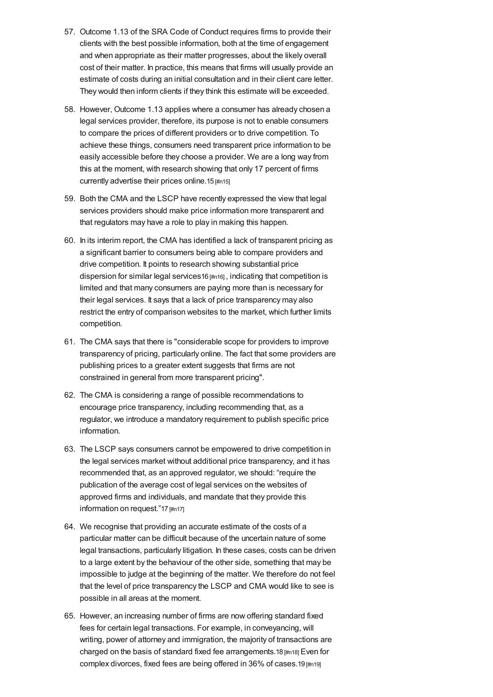- 57. Outcome 1.13 of the SRA Code of Conduct requires firms to provide their clients with the best possible information, both at the time of engagement and when appropriate as their matter progresses, about the likely overall cost of their matter. In practice, this means that firms will usually provide an estimate of costs during an initial consultation and in their client care letter. They would then inform clients if they think this estimate will be exceeded.
- 58. However, Outcome 1.13 applies where a consumer has already chosen a legal services provider, therefore, its purpose is not to enable consumers to compare the prices of different providers or to drive competition. To achieve these things, consumers need transparent price information to be easily accessible before they choose a provider. We are a long way from this at the moment, with research showing that only 17 percent of firms currently advertise their prices online.15 [\[#n15\]](#page-19-2)
- 59. Both the CMA and the LSCP have recently expressed the view that legal services providers should make price information more transparent and that regulators may have a role to play in making this happen.
- 60. In its interim report, the CMA has identified a lack of transparent pricing as a significant barrier to consumers being able to compare providers and drive competition. It points to research showing substantial price dispersion for similar legal services16 [\[#n16\]](#page-19-3) , indicating that competition is limited and that many consumers are paying more than is necessary for their legal services. It says that a lack of price transparency may also restrict the entry of comparison websites to the market, which further limits competition.
- 61. The CMA says that there is "considerable scope for providers to improve transparency of pricing, particularly online. The fact that some providers are publishing prices to a greater extent suggests that firms are not constrained in general from more transparent pricing".
- 62. The CMA is considering a range of possible recommendations to encourage price transparency, including recommending that, as a regulator, we introduce a mandatory requirement to publish specific price information.
- 63. The LSCP says consumers cannot be empowered to drive competition in the legal services market without additional price transparency, and it has recommended that, as an approved regulator, we should: "require the publication of the average cost of legal services on the websites of approved firms and individuals, and mandate that they provide this information on request."17 [\[#n17\]](#page-19-4)
- 64. We recognise that providing an accurate estimate of the costs of a particular matter can be difficult because of the uncertain nature of some legal transactions, particularly litigation. In these cases, costs can be driven to a large extent by the behaviour of the other side, something that may be impossible to judge at the beginning of the matter. We therefore do not feel that the level of price transparency the LSCP and CMA would like to see is possible in all areas at the moment.
- 65. However, an increasing number of firms are now offering standard fixed fees for certain legal transactions. For example, in conveyancing, will writing, power of attorney and immigration, the majority of transactions are charged on the basis of standard fixed fee arrangements.18 [\[#n18\]](#page-19-5) Even for complex divorces, fixed fees are being offered in 36% of cases.19 [\[#n19\]](#page-19-6)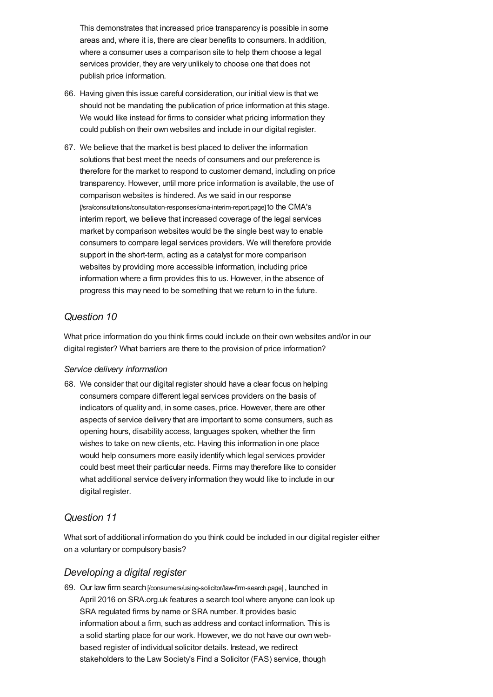This demonstrates that increased price transparency is possible in some areas and, where it is, there are clear benefits to consumers. In addition, where a consumer uses a comparison site to help them choose a legal services provider, they are very unlikely to choose one that does not publish price information.

- 66. Having given this issue careful consideration, our initial view is that we should not be mandating the publication of price information at this stage. We would like instead for firms to consider what pricing information they could publish on their own websites and include in our digital register.
- 67. We believe that the market is best placed to deliver the information solutions that best meet the needs of consumers and our preference is therefore for the market to respond to customer demand, including on price transparency. However, until more price information is available, the use of comparison websites is hindered. As we said in our response [\[/sra/consultations/consultation-responses/cma-interim-report.page\]](https://www.sra.org.uk/sra/consultations/consultation-responses/cma-interim-report.page) to the CMA's interim report, we believe that increased coverage of the legal services market by comparison websites would be the single best way to enable consumers to compare legal services providers. We will therefore provide support in the short-term, acting as a catalyst for more comparison websites by providing more accessible information, including price information where a firm provides this to us. However, in the absence of progress this may need to be something that we return to in the future.

## *Question 10*

What price information do you think firms could include on their own websites and/or in our digital register? What barriers are there to the provision of price information?

### *Service delivery information*

68. We consider that our digital register should have a clear focus on helping consumers compare different legal services providers on the basis of indicators of quality and, in some cases, price. However, there are other aspects of service delivery that are important to some consumers, such as opening hours, disability access, languages spoken, whether the firm wishes to take on new clients, etc. Having this information in one place would help consumers more easily identify which legal services provider could best meet their particular needs. Firms may therefore like to consider what additional service delivery information they would like to include in our digital register.

## *Question 11*

What sort of additional information do you think could be included in our digital register either on a voluntary or compulsory basis?

### *Developing a digital register*

69. Our law firm search [\[/consumers/using-solicitor/law-firm-search.page\]](https://www.sra.org.uk/consumers/using-solicitor/law-firm-search.page), launched in April 2016 on SRA.org.uk features a search tool where anyone can look up SRA regulated firms by name or SRA number. It provides basic information about a firm, such as address and contact information. This is a solid starting place for our work. However, we do not have our own webbased register of individual solicitor details. Instead, we redirect stakeholders to the Law Society's Find a Solicitor (FAS) service, though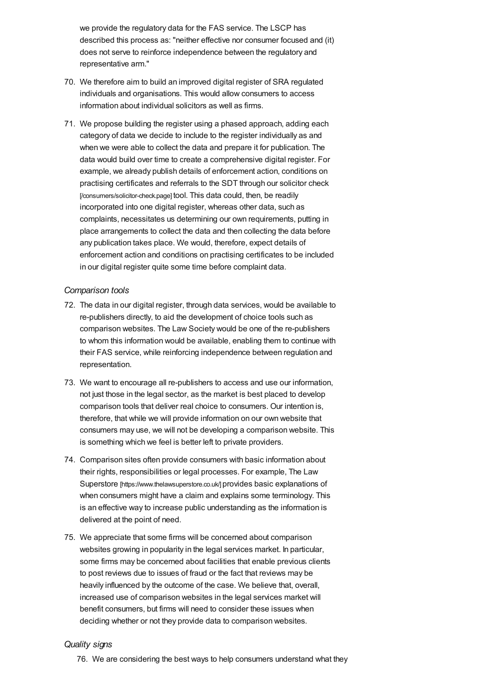we provide the regulatory data for the FAS service. The LSCP has described this process as: "neither effective nor consumer focused and (it) does not serve to reinforce independence between the regulatory and representative arm."

- 70. We therefore aim to build an improved digital register of SRA regulated individuals and organisations. This would allow consumers to access information about individual solicitors as well as firms.
- 71. We propose building the register using a phased approach, adding each category of data we decide to include to the register individually as and when we were able to collect the data and prepare it for publication. The data would build over time to create a comprehensive digital register. For example, we already publish details of enforcement action, conditions on practising certificates and referrals to the SDT through our solicitor check [\[/consumers/solicitor-check.page\]](https://www.sra.org.uk/consumers/solicitor-check.page) tool. This data could, then, be readily incorporated into one digital register, whereas other data, such as complaints, necessitates us determining our own requirements, putting in place arrangements to collect the data and then collecting the data before any publication takes place. We would, therefore, expect details of enforcement action and conditions on practising certificates to be included in our digital register quite some time before complaint data.

#### *Comparison tools*

- 72. The data in our digital register, through data services, would be available to re-publishers directly, to aid the development of choice tools such as comparison websites. The Law Society would be one of the re-publishers to whom this information would be available, enabling them to continue with their FAS service, while reinforcing independence between regulation and representation.
- 73. We want to encourage all re-publishers to access and use our information, not just those in the legal sector, as the market is best placed to develop comparison tools that deliver real choice to consumers. Our intention is, therefore, that while we will provide information on our own website that consumers may use, we will not be developing a comparison website. This is something which we feel is better left to private providers.
- 74. Comparison sites often provide consumers with basic information about their rights, responsibilities or legal processes. For example, The Law Superstore [\[https://www.thelawsuperstore.co.uk/\]](https://www.thelawsuperstore.co.uk/) provides basic explanations of when consumers might have a claim and explains some terminology. This is an effective way to increase public understanding as the information is delivered at the point of need.
- 75. We appreciate that some firms will be concerned about comparison websites growing in popularity in the legal services market. In particular, some firms may be concerned about facilities that enable previous clients to post reviews due to issues of fraud or the fact that reviews may be heavily influenced by the outcome of the case. We believe that, overall, increased use of comparison websites in the legal services market will benefit consumers, but firms will need to consider these issues when deciding whether or not they provide data to comparison websites.

#### *Quality signs*

76. We are considering the best ways to help consumers understand what they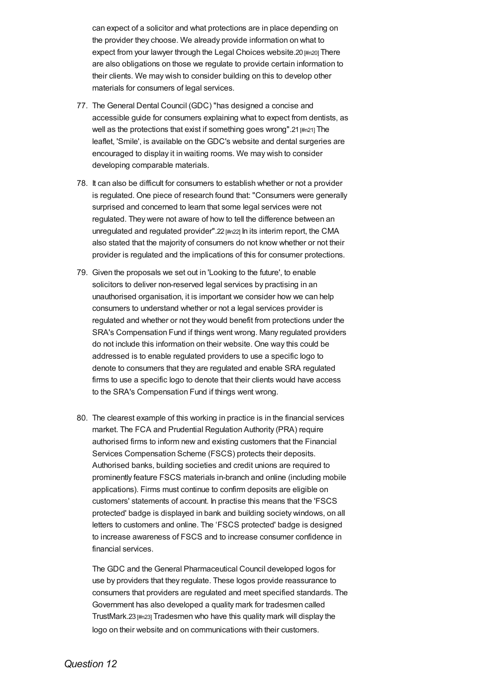can expect of a solicitor and what protections are in place depending on the provider they choose. We already provide information on what to expect from your lawyer through the Legal Choices website.20 [\[#n20\]](#page-19-7) There are also obligations on those we regulate to provide certain information to their clients. We may wish to consider building on this to develop other materials for consumers of legal services.

- 77. The General Dental Council (GDC) "has designed a concise and accessible guide for consumers explaining what to expect from dentists, as well as the protections that exist if something goes wrong".21 [\[#n21\]](#page-19-8) The leaflet, 'Smile', is available on the GDC's website and dental surgeries are encouraged to display it in waiting rooms. We may wish to consider developing comparable materials.
- 78. It can also be difficult for consumers to establish whether or not a provider is regulated. One piece of research found that: "Consumers were generally surprised and concerned to learn that some legal services were not regulated. They were not aware of how to tell the difference between an unregulated and regulated provider".22 [\[#n22\]](#page-19-9) In its interim report, the CMA also stated that the majority of consumers do not know whether or not their provider is regulated and the implications of this for consumer protections.
- 79. Given the proposals we set out in 'Looking to the future', to enable solicitors to deliver non-reserved legal services by practising in an unauthorised organisation, it is important we consider how we can help consumers to understand whether or not a legal services provider is regulated and whether or not they would benefit from protections under the SRA's Compensation Fund if things went wrong. Many regulated providers do not include this information on their website. One way this could be addressed is to enable regulated providers to use a specific logo to denote to consumers that they are regulated and enable SRA regulated firms to use a specific logo to denote that their clients would have access to the SRA's Compensation Fund if things went wrong.
- 80. The clearest example of this working in practice is in the financial services market. The FCA and Prudential Regulation Authority (PRA) require authorised firms to inform new and existing customers that the Financial Services Compensation Scheme (FSCS) protects their deposits. Authorised banks, building societies and credit unions are required to prominently feature FSCS materials in-branch and online (including mobile applications). Firms must continue to confirm deposits are eligible on customers' statements of account. In practise this means that the 'FSCS protected' badge is displayed in bank and building society windows, on all letters to customers and online. The 'FSCS protected' badge is designed to increase awareness of FSCS and to increase consumer confidence in financial services.

The GDC and the General Pharmaceutical Council developed logos for use by providers that they regulate. These logos provide reassurance to consumers that providers are regulated and meet specified standards. The Government has also developed a quality mark for tradesmen called TrustMark.23 [\[#n23\]](#page-19-10) Tradesmen who have this quality mark will display the logo on their website and on communications with their customers.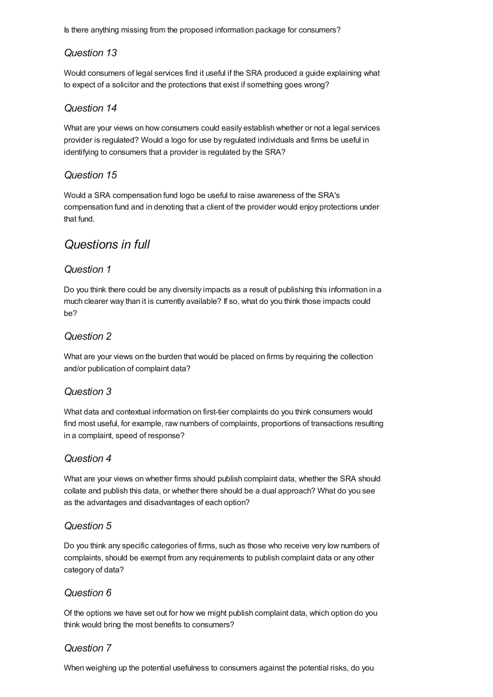Is there anything missing from the proposed information package for consumers?

## *Question 13*

Would consumers of legal services find it useful if the SRA produced a guide explaining what to expect of a solicitor and the protections that exist if something goes wrong?

## *Question 14*

What are your views on how consumers could easily establish whether or not a legal services provider is regulated? Would a logo for use by regulated individuals and firms be useful in identifying to consumers that a provider is regulated by the SRA?

## *Question 15*

Would a SRA compensation fund logo be useful to raise awareness of the SRA's compensation fund and in denoting that a client of the provider would enjoy protections under that fund.

## *Questions in full*

## *Question 1*

Do you think there could be any diversity impacts as a result of publishing this information in a much clearer way than it is currently available? If so, what do you think those impacts could be?

## *Question 2*

What are your views on the burden that would be placed on firms by requiring the collection and/or publication of complaint data?

## *Question 3*

What data and contextual information on first-tier complaints do you think consumers would find most useful, for example, raw numbers of complaints, proportions of transactions resulting in a complaint, speed of response?

## *Question 4*

What are your views on whether firms should publish complaint data, whether the SRA should collate and publish this data, or whether there should be a dual approach? What do you see as the advantages and disadvantages of each option?

## *Question 5*

Do you think any specific categories of firms, such as those who receive very low numbers of complaints, should be exempt from any requirements to publish complaint data or any other category of data?

## *Question 6*

Of the options we have set out for how we might publish complaint data, which option do you think would bring the most benefits to consumers?

## *Question 7*

When weighing up the potential usefulness to consumers against the potential risks, do you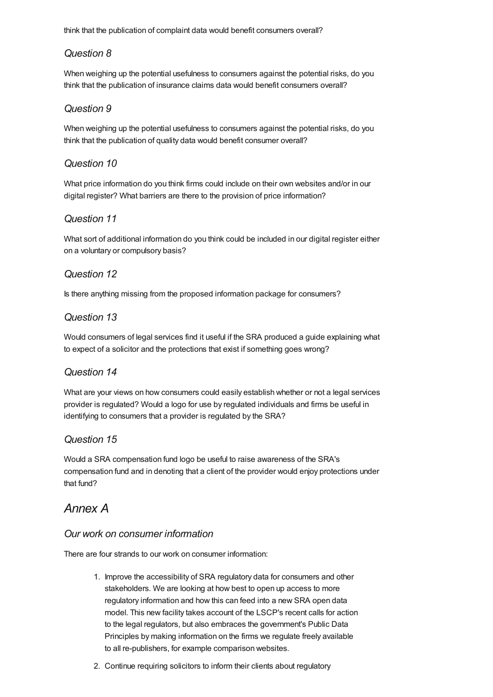think that the publication of complaint data would benefit consumers overall?

## *Question 8*

When weighing up the potential usefulness to consumers against the potential risks, do you think that the publication of insurance claims data would benefit consumers overall?

## *Question 9*

When weighing up the potential usefulness to consumers against the potential risks, do you think that the publication of quality data would benefit consumer overall?

## *Question 10*

What price information do you think firms could include on their own websites and/or in our digital register? What barriers are there to the provision of price information?

## *Question 11*

What sort of additional information do you think could be included in our digital register either on a voluntary or compulsory basis?

## *Question 12*

Is there anything missing from the proposed information package for consumers?

## *Question 13*

Would consumers of legal services find it useful if the SRA produced a guide explaining what to expect of a solicitor and the protections that exist if something goes wrong?

## *Question 14*

What are your views on how consumers could easily establish whether or not a legal services provider is regulated? Would a logo for use by regulated individuals and firms be useful in identifying to consumers that a provider is regulated by the SRA?

### *Question 15*

Would a SRA compensation fund logo be useful to raise awareness of the SRA's compensation fund and in denoting that a client of the provider would enjoy protections under that fund?

## <span id="page-15-0"></span>*Annex A*

### *Our work on consumer information*

There are four strands to our work on consumer information:

- 1. Improve the accessibility of SRA regulatory data for consumers and other stakeholders. We are looking at how best to open up access to more regulatory information and how this can feed into a new SRA open data model. This new facility takes account of the LSCP's recent calls for action to the legal regulators, but also embraces the government's Public Data Principles by making information on the firms we regulate freely available to all re-publishers, for example comparison websites.
- 2. Continue requiring solicitors to inform their clients about regulatory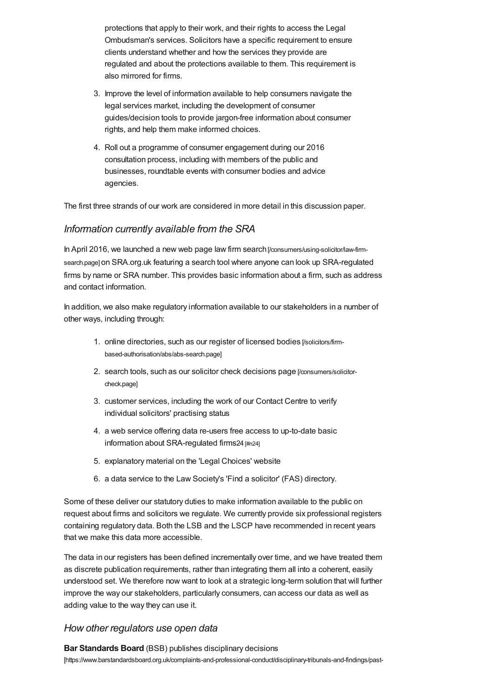protections that apply to their work, and their rights to access the Legal Ombudsman's services. Solicitors have a specific requirement to ensure clients understand whether and how the services they provide are regulated and about the protections available to them. This requirement is also mirrored for firms.

- 3. Improve the level of information available to help consumers navigate the legal services market, including the development of consumer guides/decision tools to provide jargon-free information about consumer rights, and help them make informed choices.
- 4. Roll out a programme of consumer engagement during our 2016 consultation process, including with members of the public and businesses, roundtable events with consumer bodies and advice agencies.

The first three strands of our work are considered in more detail in this discussion paper.

### *Information currently available from the SRA*

In April 2016, we launched a new web page law firm search [\[/consumers/using-solicitor/law-firm](https://www.sra.org.uk/consumers/using-solicitor/law-firm-search.page)search.page] on SRA.org.uk featuring a search tool where anyone can look up SRA-regulated firms by name or SRA number. This provides basic information about a firm, such as address and contact information.

In addition, we also make regulatory information available to our stakeholders in a number of other ways, including through:

- 1. online directories, such as our register of licensed bodies [/solicitors/firm[based-authorisation/abs/abs-search.page\]](https://www.sra.org.uk/solicitors/firm-based-authorisation/abs/abs-search.page)
- 2. search tools, such as our solicitor check decisions page [\[/consumers/solicitor](https://www.sra.org.uk/consumers/solicitor-check.page)check.page]
- 3. customer services, including the work of our Contact Centre to verify individual solicitors' practising status
- 4. a web service offering data re-users free access to up-to-date basic information about SRA-regulated firms24 [\[#n24\]](#page-19-11)
- 5. explanatory material on the 'Legal Choices' website
- 6. a data service to the Law Society's 'Find a solicitor' (FAS) directory.

Some of these deliver our statutory duties to make information available to the public on request about firms and solicitors we regulate. We currently provide six professional registers containing regulatory data. Both the LSB and the LSCP have recommended in recent years that we make this data more accessible.

The data in our registers has been defined incrementally over time, and we have treated them as discrete publication requirements, rather than integrating them all into a coherent, easily understood set. We therefore now want to look at a strategic long-term solution that will further improve the way our stakeholders, particularly consumers, can access our data as well as adding value to the way they can use it.

### *How other regulators use open data*

**Bar Standards Board** (BSB) publishes disciplinary decisions [\[https://www.barstandardsboard.org.uk/complaints-and-professional-conduct/disciplinary-tribunals-and-findings/past-](https://www.barstandardsboard.org.uk/complaints-and-professional-conduct/disciplinary-tribunals-and-findings/past-findings-and-future-hearings/)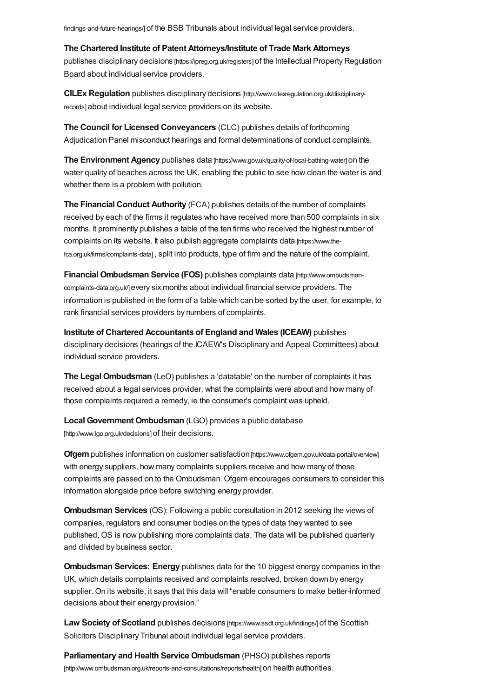findings-and-future-hearings/] of the BSB Tribunals about individual legal service providers.

**The Chartered Institute of Patent Attorneys/Institute of Trade Mark Attorneys**

publishes disciplinary decisions [\[https://ipreg.org.uk/registers\]](https://ipreg.org.uk/registers) of the Intellectual Property Regulation Board about individual service providers.

**CILEx Regulation** publishes disciplinary decisions [\[http://www.cilexregulation.org.uk/disciplinary](http://www.cilexregulation.org.uk/disciplinary-records)records] about individual legal service providers on its website.

**The Council for Licensed Conveyancers** (CLC) publishes details of forthcoming Adjudication Panel misconduct hearings and formal determinations of conduct complaints.

**The Environment Agency** publishes data [\[https://www.gov.uk/quality-of-local-bathing-water\]](https://www.gov.uk/quality-of-local-bathing-water) on the water quality of beaches across the UK, enabling the public to see how clean the water is and whether there is a problem with pollution.

**The Financial Conduct Authority** (FCA) publishes details of the number of complaints received by each of the firms it regulates who have received more than 500 complaints in six months. It prominently publishes a table of the ten firms who received the highest number of complaints on its website. It also publish aggregate complaints data [https://www.the[fca.org.uk/firms/complaints-data\]](https://www.the-fca.org.uk/firms/complaints-data) , split into products, type of firm and the nature of the complaint.

**Financial Ombudsman Service (FOS)** publishes complaints data [\[http://www.ombudsman](http://www.ombudsman-complaints-data.org.uk/)complaints-data.org.uk/] every six months about individual financial service providers. The information is published in the form of a table which can be sorted by the user, for example, to rank financial services providers by numbers of complaints.

**Institute of Chartered Accountants of England and Wales (ICEAW)** publishes disciplinary decisions (hearings of the ICAEW's Disciplinary and Appeal Committees) about individual service providers.

**The Legal Ombudsman** (LeO) publishes a 'datatable' on the number of complaints it has received about a legal services provider, what the complaints were about and how many of those complaints required a remedy, ie the consumer's complaint was upheld.

**Local Government Ombudsman** (LGO) provides a public database [\[http://www.lgo.org.uk/decisions\]](http://www.lgo.org.uk/decisions) of their decisions.

**Ofgem** publishes information on customer satisfaction [\[https://www.ofgem.gov.uk/data-portal/overview\]](https://www.ofgem.gov.uk/data-portal/overview) with energy suppliers, how many complaints suppliers receive and how many of those complaints are passed on to the Ombudsman. Ofgem encourages consumers to consider this information alongside price before switching energy provider.

**Ombudsman Services** (OS): Following a public consultation in 2012 seeking the views of companies, regulators and consumer bodies on the types of data they wanted to see published, OS is now publishing more complaints data. The data will be published quarterly and divided by business sector.

**Ombudsman Services: Energy** publishes data for the 10 biggest energy companies in the UK, which details complaints received and complaints resolved, broken down by energy supplier. On its website, it says that this data will "enable consumers to make better-informed decisions about their energy provision."

**Law Society of Scotland** publishes decisions [\[https://www.ssdt.org.uk/findings/\]](https://www.ssdt.org.uk/findings/) of the Scottish Solicitors Disciplinary Tribunal about individual legal service providers.

**Parliamentary and Health Service Ombudsman** (PHSO) publishes reports [\[http://www.ombudsman.org.uk/reports-and-consultations/reports/health\]](http://www.ombudsman.org.uk/reports-and-consultations/reports/health) on health authorities.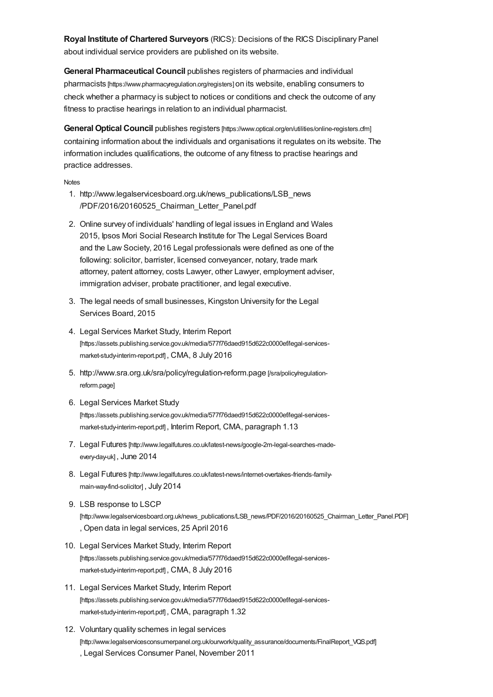**Royal Institute of Chartered Surveyors** (RICS): Decisions of the RICS Disciplinary Panel about individual service providers are published on its website.

**General Pharmaceutical Council** publishes registers of pharmacies and individual pharmacists [\[https://www.pharmacyregulation.org/registers\]](https://www.pharmacyregulation.org/registers) on its website, enabling consumers to check whether a pharmacy is subject to notices or conditions and check the outcome of any fitness to practise hearings in relation to an individual pharmacist.

**General Optical Council** publishes registers [\[https://www.optical.org/en/utilities/online-registers.cfm\]](https://www.optical.org/en/utilities/online-registers.cfm) containing information about the individuals and organisations it regulates on its website. The information includes qualifications, the outcome of any fitness to practise hearings and practice addresses.

<span id="page-18-12"></span>**[Notes](#page-18-12)** 

- <span id="page-18-0"></span>1. http://www.legalservicesboard.org.uk/news\_publications/LSB\_news /PDF/2016/20160525\_Chairman\_Letter\_Panel.pdf
- <span id="page-18-1"></span>2. Online survey of individuals' handling of legal issues in England and Wales 2015, Ipsos Mori Social Research Institute for The Legal Services Board and the Law Society, 2016 Legal professionals were defined as one of the following: solicitor, barrister, licensed conveyancer, notary, trade mark attorney, patent attorney, costs Lawyer, other Lawyer, employment adviser, immigration adviser, probate practitioner, and legal executive.
- <span id="page-18-2"></span>3. The legal needs of small businesses, Kingston University for the Legal Services Board, 2015
- <span id="page-18-3"></span>4. Legal Services Market Study, Interim Report [\[https://assets.publishing.service.gov.uk/media/577f76daed915d622c0000ef/legal-services](https://assets.publishing.service.gov.uk/media/577f76daed915d622c0000ef/legal-services-market-study-interim-report.pdf)market-study-interim-report.pdf] , CMA, 8 July 2016
- <span id="page-18-4"></span>5. [http://www.sra.org.uk/sra/policy/regulation-reform.page](https://www.sra.org.uk/sra/policy/regulation-reform.page) [/sra/policy/regulationreform.page]
- <span id="page-18-5"></span>6. Legal Services Market Study [\[https://assets.publishing.service.gov.uk/media/577f76daed915d622c0000ef/legal-services](https://assets.publishing.service.gov.uk/media/577f76daed915d622c0000ef/legal-services-market-study-interim-report.pdf)market-study-interim-report.pdf] , Interim Report, CMA, paragraph 1.13
- <span id="page-18-6"></span>7. Legal Futures [\[http://www.legalfutures.co.uk/latest-news/google-2m-legal-searches-made](http://www.legalfutures.co.uk/latest-news/google-2m-legal-searches-made-every-day-uk)every-day-uk] , June 2014
- <span id="page-18-7"></span>8. Legal Futures [\[http://www.legalfutures.co.uk/latest-news/internet-overtakes-friends-family](http://www.legalfutures.co.uk/latest-news/internet-overtakes-friends-family-main-way-find-solicitor)main-way-find-solicitor] , July 2014
- <span id="page-18-8"></span>9. LSB response to LSCP [\[http://www.legalservicesboard.org.uk/news\\_publications/LSB\\_news/PDF/2016/20160525\\_Chairman\\_Letter\\_Panel.PDF\]](http://www.legalservicesboard.org.uk/news_publications/LSB_news/PDF/2016/20160525_Chairman_Letter_Panel.PDF) , Open data in legal services, 25 April 2016
- <span id="page-18-9"></span>10. Legal Services Market Study, Interim Report [\[https://assets.publishing.service.gov.uk/media/577f76daed915d622c0000ef/legal-services](https://assets.publishing.service.gov.uk/media/577f76daed915d622c0000ef/legal-services-market-study-interim-report.pdf)market-study-interim-report.pdf] , CMA, 8 July 2016
- <span id="page-18-10"></span>11. Legal Services Market Study, Interim Report [\[https://assets.publishing.service.gov.uk/media/577f76daed915d622c0000ef/legal-services](https://assets.publishing.service.gov.uk/media/577f76daed915d622c0000ef/legal-services-market-study-interim-report.pdf)market-study-interim-report.pdf] , CMA, paragraph 1.32
- <span id="page-18-11"></span>12. Voluntary quality schemes in legal services [\[http://www.legalservicesconsumerpanel.org.uk/ourwork/quality\\_assurance/documents/FinalReport\\_VQS.pdf\]](http://www.legalservicesconsumerpanel.org.uk/ourwork/quality_assurance/documents/FinalReport_VQS.pdf) , Legal Services Consumer Panel, November 2011